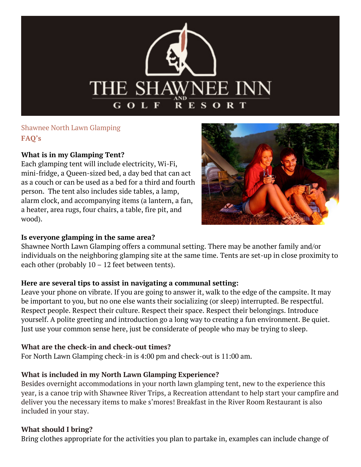

# Shawnee North Lawn Glamping **FAQ's**

#### **What is in my Glamping Tent?**

 a heater, area rugs, four chairs, a table, fire pit, and Each glamping tent will include electricity, Wi-Fi, mini-fridge, a Queen-sized bed, a day bed that can act as a couch or can be used as a bed for a third and fourth person. The tent also includes side tables, a lamp, alarm clock, and accompanying items (a lantern, a fan, wood).



#### **Is everyone glamping in the same area?**

 Shawnee North Lawn Glamping offers a communal setting. There may be another family and/or each other (probably 10 – 12 feet between tents). individuals on the neighboring glamping site at the same time. Tents are set-up in close proximity to

#### **Here are several tips to assist in navigating a communal setting:**

Leave your phone on vibrate. If you are going to answer it, walk to the edge of the campsite. It may be important to you, but no one else wants their socializing (or sleep) interrupted. Be respectful. Respect people. Respect their culture. Respect their space. Respect their belongings. Introduce yourself. A polite greeting and introduction go a long way to creating a fun environment. Be quiet. Just use your common sense here, just be considerate of people who may be trying to sleep.

#### **What are the check-in and check-out times?**

For North Lawn Glamping check-in is 4:00 pm and check-out is 11:00 am.

## **What is included in my North Lawn Glamping Experience?**

 deliver you the necessary items to make s'mores! Breakfast in the River Room Restaurant is also Besides overnight accommodations in your north lawn glamping tent, new to the experience this year, is a canoe trip with Shawnee River Trips, a Recreation attendant to help start your campfire and included in your stay.

#### **What should I bring?**

Bring clothes appropriate for the activities you plan to partake in, examples can include change of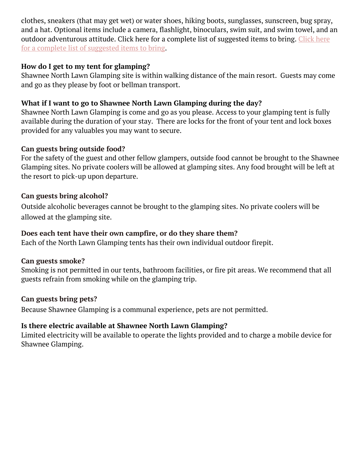clothes, sneakers (that may get wet) or water shoes, hiking boots, sunglasses, sunscreen, bug spray, and a hat. Optional items include a camera, flashlight, binoculars, swim suit, and swim towel, and an outdoor adventurous attitude. Click here for a complete list of suggested items to bring. [Click here](https://2486634c787a971a3554-d983ce57e4c84901daded0f67d5a004f.ssl.cf1.rackcdn.com/shawnee/media/Camp-Packing-List-55b7d13a1793c.pdf)  [for a complete list of suggested items to bring.](https://2486634c787a971a3554-d983ce57e4c84901daded0f67d5a004f.ssl.cf1.rackcdn.com/shawnee/media/Camp-Packing-List-55b7d13a1793c.pdf)

#### **How do I get to my tent for glamping?**

Shawnee North Lawn Glamping site is within walking distance of the main resort. Guests may come and go as they please by foot or bellman transport.

### **What if I want to go to Shawnee North Lawn Glamping during the day?**

Shawnee North Lawn Glamping is come and go as you please. Access to your glamping tent is fully available during the duration of your stay. There are locks for the front of your tent and lock boxes provided for any valuables you may want to secure.

#### **Can guests bring outside food?**

For the safety of the guest and other fellow glampers, outside food cannot be brought to the Shawnee Glamping sites. No private coolers will be allowed at glamping sites. Any food brought will be left at the resort to pick-up upon departure.

#### **Can guests bring alcohol?**

Outside alcoholic beverages cannot be brought to the glamping sites. No private coolers will be allowed at the glamping site.

#### **Does each tent have their own campfire, or do they share them?**

Each of the North Lawn Glamping tents has their own individual outdoor firepit.

#### **Can guests smoke?**

Smoking is not permitted in our tents, bathroom facilities, or fire pit areas. We recommend that all guests refrain from smoking while on the glamping trip.

#### **Can guests bring pets?**

Because Shawnee Glamping is a communal experience, pets are not permitted.

#### **Is there electric available at Shawnee North Lawn Glamping?**

 Limited electricity will be available to operate the lights provided and to charge a mobile device for Shawnee Glamping.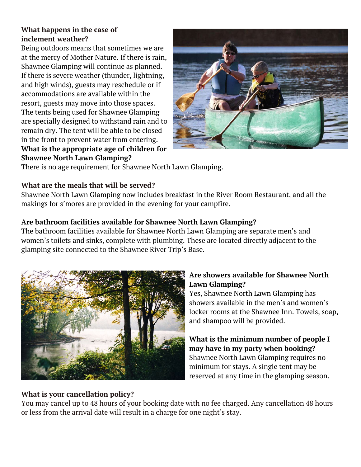## **What happens in the case of inclement weather?**

 and high winds), guests may reschedule or if Being outdoors means that sometimes we are at the mercy of Mother Nature. If there is rain, Shawnee Glamping will continue as planned. If there is severe weather (thunder, lightning, accommodations are available within the resort, guests may move into those spaces. The tents being used for Shawnee Glamping are specially designed to withstand rain and to remain dry. The tent will be able to be closed in the front to prevent water from entering. **What is the appropriate age of children for Shawnee North Lawn Glamping?** 



There is no age requirement for Shawnee North Lawn Glamping.

#### **What are the meals that will be served?**

 Shawnee North Lawn Glamping now includes breakfast in the River Room Restaurant, and all the makings for s'mores are provided in the evening for your campfire.

### **Are bathroom facilities available for Shawnee North Lawn Glamping?**

The bathroom facilities available for Shawnee North Lawn Glamping are separate men's and women's toilets and sinks, complete with plumbing. These are located directly adjacent to the glamping site connected to the Shawnee River Trip's Base.



#### **Are showers available for Shawnee North Lawn Glamping?**

Yes, Shawnee North Lawn Glamping has showers available in the men's and women's locker rooms at the Shawnee Inn. Towels, soap, and shampoo will be provided.

**What is the minimum number of people I may have in my party when booking?**  Shawnee North Lawn Glamping requires no minimum for stays. A single tent may be reserved at any time in the glamping season.

## **What is your cancellation policy?**

You may cancel up to 48 hours of your booking date with no fee charged. Any cancellation 48 hours or less from the arrival date will result in a charge for one night's stay.